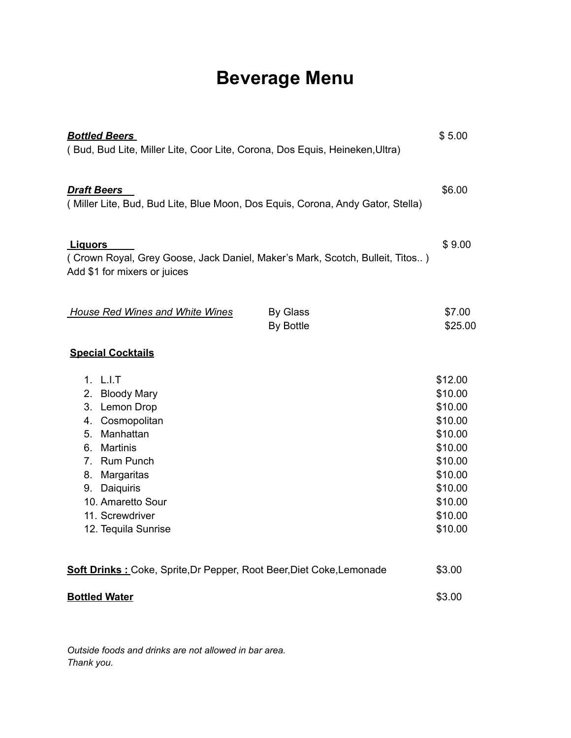## **Beverage Menu**

| <b>Bottled Beers</b><br>(Bud, Bud Lite, Miller Lite, Coor Lite, Corona, Dos Equis, Heineken, Ultra)                                                                                                                                                                                    | \$5.00                                                                                                                           |
|----------------------------------------------------------------------------------------------------------------------------------------------------------------------------------------------------------------------------------------------------------------------------------------|----------------------------------------------------------------------------------------------------------------------------------|
| <b>Draft Beers</b><br>(Miller Lite, Bud, Bud Lite, Blue Moon, Dos Equis, Corona, Andy Gator, Stella)                                                                                                                                                                                   | \$6.00                                                                                                                           |
| <u>Liquors</u><br>(Crown Royal, Grey Goose, Jack Daniel, Maker's Mark, Scotch, Bulleit, Titos)<br>Add \$1 for mixers or juices                                                                                                                                                         | \$9.00                                                                                                                           |
| <b>House Red Wines and White Wines</b><br><b>By Glass</b><br>By Bottle                                                                                                                                                                                                                 | \$7.00<br>\$25.00                                                                                                                |
| <b>Special Cocktails</b>                                                                                                                                                                                                                                                               |                                                                                                                                  |
| 1. L.I.T<br>2.<br><b>Bloody Mary</b><br>Lemon Drop<br>3.<br>Cosmopolitan<br>4.<br>Manhattan<br>5.<br><b>Martinis</b><br>6.<br><b>Rum Punch</b><br>$7_{\scriptscriptstyle{\sim}}$<br>Margaritas<br>8.<br>Daiquiris<br>9.<br>10. Amaretto Sour<br>11. Screwdriver<br>12. Tequila Sunrise | \$12.00<br>\$10.00<br>\$10.00<br>\$10.00<br>\$10.00<br>\$10.00<br>\$10.00<br>\$10.00<br>\$10.00<br>\$10.00<br>\$10.00<br>\$10.00 |
| <b>Soft Drinks: Coke, Sprite, Dr Pepper, Root Beer, Diet Coke, Lemonade</b>                                                                                                                                                                                                            |                                                                                                                                  |
| <b>Bottled Water</b>                                                                                                                                                                                                                                                                   |                                                                                                                                  |

*Outside foods and drinks are not allowed in bar area. Thank you.*